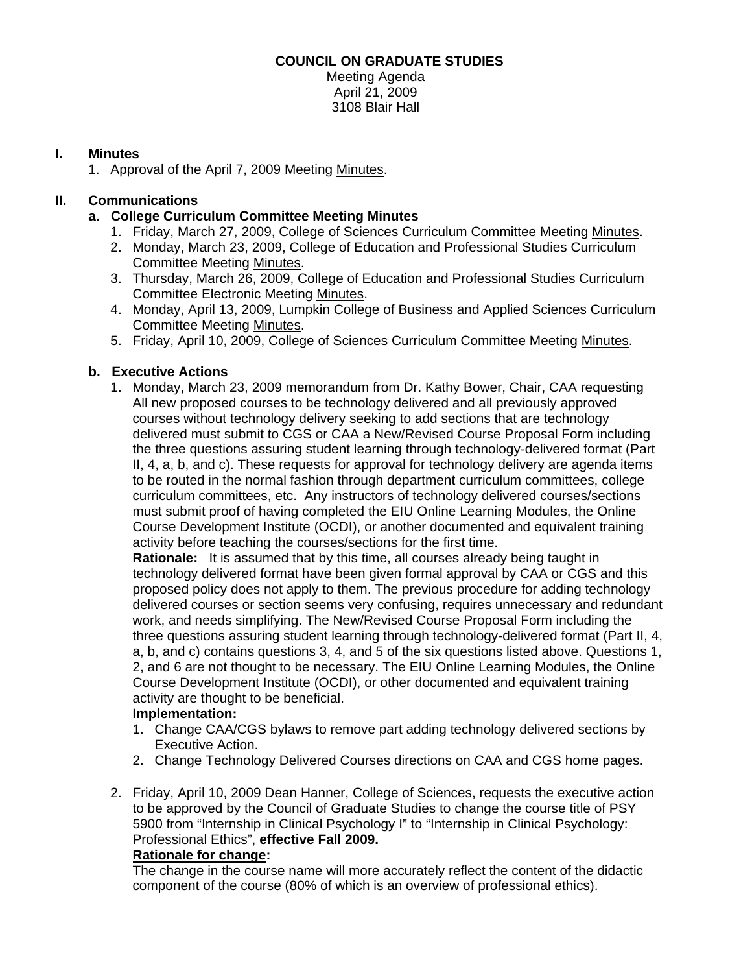# **COUNCIL ON GRADUATE STUDIES**

Meeting Agenda April 21, 2009 3108 Blair Hall

# **I. Minutes**

1. Approval of the April 7, 2009 Meeting [Minutes.](http://www.eiu.edu/~eiucgs/currentminutes/Minutes4-07-09.pdf) 

# **II. Communications**

- **a. College Curriculum Committee Meeting Minutes** 
	- 1. Friday, March 27, 2009, College of Sciences Curriculum Committee Meeti[ng Minutes.](http://www.eiu.edu/~eiucgs/currentagendaitems/COSMin3-27-09.pdf)
	- 2. Monday, March 23, 2009, College of Education and Professional Studies Curriculum Committee Meeti[ng Minutes.](http://www.eiu.edu/~eiucgs/currentagendaitems/CEPSMin3-23-09.pdf)
	- 3. Thursday, March 26, 2009, College of Education and Professional Studies Curriculum Committee Electronic Meetin[g Minutes.](http://www.eiu.edu/~eiucgs/currentagendaitems/CEPSMin3-26-09.pdf)
	- 4. Monday, April 13, 2009, Lumpkin College of Business and Applied Sciences Curriculum Committee Meetin[g Minutes.](http://www.eiu.edu/~eiucgs/currentagendaitems/LCBASMin4-13-09.pdf)
	- 5. Friday, April 10, 2009, College of Sciences Curriculum Committee Meetin[g Minutes.](http://www.eiu.edu/~eiucgs/currentagendaitems/COSMin4-10-09.pdf)

# **b. Executive Actions**

 1. Monday, March 23, 2009 memorandum from Dr. Kathy Bower, Chair, CAA requesting All new proposed courses to be technology delivered and all previously approved courses without technology delivery seeking to add sections that are technology delivered must submit to CGS or CAA a New/Revised Course Proposal Form including the three questions assuring student learning through technology-delivered format (Part II, 4, a, b, and c). These requests for approval for technology delivery are agenda items to be routed in the normal fashion through department curriculum committees, college curriculum committees, etc. Any instructors of technology delivered courses/sections must submit proof of having completed the EIU Online Learning Modules, the Online Course Development Institute (OCDI), or another documented and equivalent training activity before teaching the courses/sections for the first time.

**Rationale:** It is assumed that by this time, all courses already being taught in technology delivered format have been given formal approval by CAA or CGS and this proposed policy does not apply to them. The previous procedure for adding technology delivered courses or section seems very confusing, requires unnecessary and redundant work, and needs simplifying. The New/Revised Course Proposal Form including the three questions assuring student learning through technology-delivered format (Part II, 4, a, b, and c) contains questions 3, 4, and 5 of the six questions listed above. Questions 1, 2, and 6 are not thought to be necessary. The EIU Online Learning Modules, the Online Course Development Institute (OCDI), or other documented and equivalent training activity are thought to be beneficial.

# **Implementation:**

- 1. Change CAA/CGS bylaws to remove part adding technology delivered sections by Executive Action.
- 2. Change Technology Delivered Courses directions on CAA and CGS home pages.
- 2. Friday, April 10, 2009 Dean Hanner, College of Sciences, requests the executive action to be approved by the Council of Graduate Studies to change the course title of PSY 5900 from "Internship in Clinical Psychology I" to "Internship in Clinical Psychology: Professional Ethics", **effective Fall 2009.**

# **Rationale for change:**

The change in the course name will more accurately reflect the content of the didactic component of the course (80% of which is an overview of professional ethics).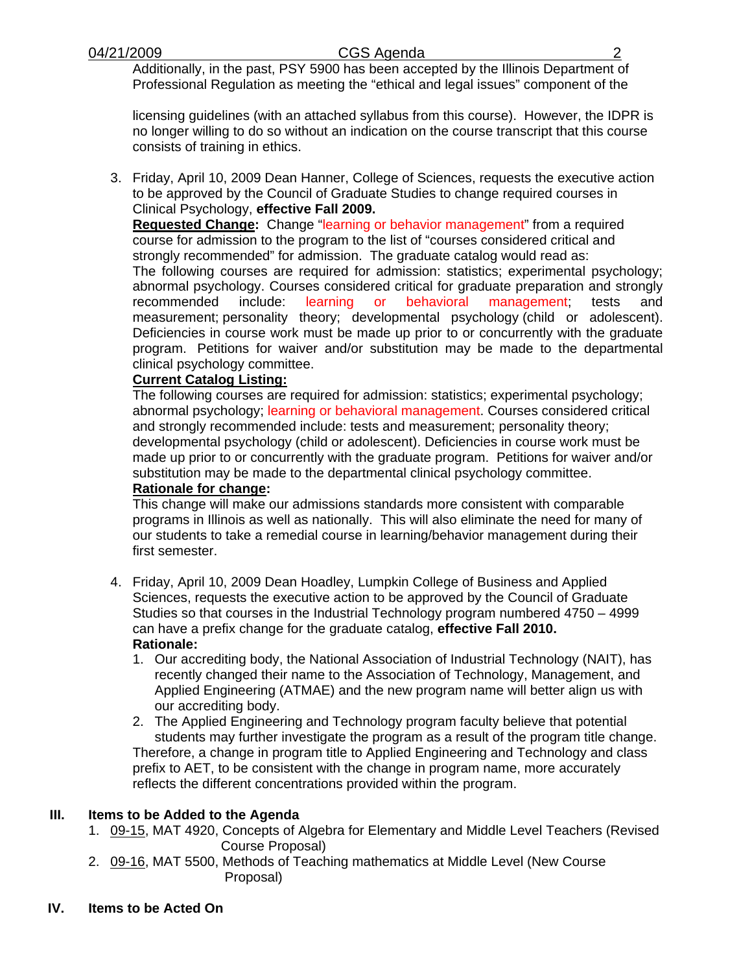# 04/21/2009 CGS Agenda 2

Additionally, in the past, PSY 5900 has been accepted by the Illinois Department of Professional Regulation as meeting the "ethical and legal issues" component of the

licensing guidelines (with an attached syllabus from this course). However, the IDPR is no longer willing to do so without an indication on the course transcript that this course consists of training in ethics.

3. Friday, April 10, 2009 Dean Hanner, College of Sciences, requests the executive action to be approved by the Council of Graduate Studies to change required courses in Clinical Psychology, **effective Fall 2009.**

**Requested Change:** Change "learning or behavior management" from a required course for admission to the program to the list of "courses considered critical and strongly recommended" for admission. The graduate catalog would read as:

The following courses are required for admission: statistics; experimental psychology; abnormal psychology. Courses considered critical for graduate preparation and strongly recommended include: learning or behavioral management; tests and measurement; personality theory; developmental psychology (child or adolescent). Deficiencies in course work must be made up prior to or concurrently with the graduate program. Petitions for waiver and/or substitution may be made to the departmental clinical psychology committee.

# **Current Catalog Listing:**

The following courses are required for admission: statistics; experimental psychology; abnormal psychology; learning or behavioral management. Courses considered critical and strongly recommended include: tests and measurement; personality theory; developmental psychology (child or adolescent). Deficiencies in course work must be made up prior to or concurrently with the graduate program. Petitions for waiver and/or substitution may be made to the departmental clinical psychology committee. **Rationale for change:** 

This change will make our admissions standards more consistent with comparable programs in Illinois as well as nationally. This will also eliminate the need for many of our students to take a remedial course in learning/behavior management during their first semester.

- 4. Friday, April 10, 2009 Dean Hoadley, Lumpkin College of Business and Applied Sciences, requests the executive action to be approved by the Council of Graduate Studies so that courses in the Industrial Technology program numbered 4750 – 4999 can have a prefix change for the graduate catalog, **effective Fall 2010. Rationale:**
	- 1. Our accrediting body, the National Association of Industrial Technology (NAIT), has recently changed their name to the Association of Technology, Management, and Applied Engineering (ATMAE) and the new program name will better align us with our accrediting body.
	- 2. The Applied Engineering and Technology program faculty believe that potential students may further investigate the program as a result of the program title change. Therefore, a change in program title to Applied Engineering and Technology and class prefix to AET, to be consistent with the change in program name, more accurately reflects the different concentrations provided within the program.

# **III. Items to be Added to the Agenda**

- 1[. 09-15, M](http://www.eiu.edu/~eiucgs/currentagendaitems/agenda09-15.pdf)AT 4920, Concepts of Algebra for Elementary and Middle Level Teachers (Revised Course Proposal)
- 2. [09-16, M](http://www.eiu.edu/~eiucgs/currentagendaitems/agenda09-16.pdf)AT 5500, Methods of Teaching mathematics at Middle Level (New Course Proposal)
- **IV. Items to be Acted On**